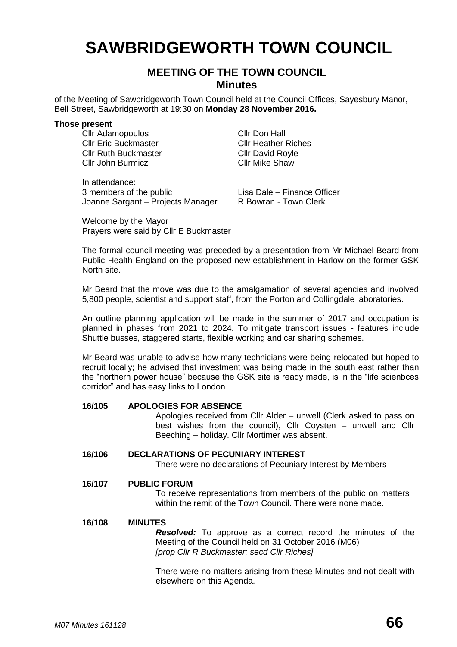# **SAWBRIDGEWORTH TOWN COUNCIL**

## **MEETING OF THE TOWN COUNCIL Minutes**

of the Meeting of Sawbridgeworth Town Council held at the Council Offices, Sayesbury Manor, Bell Street, Sawbridgeworth at 19:30 on **Monday 28 November 2016.**

#### **Those present**

Cllr Adamopoulos Cllr Don Hall Cllr Eric Buckmaster Cllr Heather Riches Cllr Ruth Buckmaster Cllr David Royle Cllr John Burmicz Cllr Mike Shaw

In attendance: 3 members of the public Lisa Dale – Finance Officer<br>Joanne Sargant – Projects Manager R Bowran - Town Clerk Joanne Sargant – Projects Manager

Welcome by the Mayor Prayers were said by Cllr E Buckmaster

The formal council meeting was preceded by a presentation from Mr Michael Beard from Public Health England on the proposed new establishment in Harlow on the former GSK North site.

Mr Beard that the move was due to the amalgamation of several agencies and involved 5,800 people, scientist and support staff, from the Porton and Collingdale laboratories.

An outline planning application will be made in the summer of 2017 and occupation is planned in phases from 2021 to 2024. To mitigate transport issues - features include Shuttle busses, staggered starts, flexible working and car sharing schemes.

Mr Beard was unable to advise how many technicians were being relocated but hoped to recruit locally; he advised that investment was being made in the south east rather than the "northern power house" because the GSK site is ready made, is in the "life scienbces corridor" and has easy links to London.

#### **16/105 APOLOGIES FOR ABSENCE**

Apologies received from Cllr Alder – unwell (Clerk asked to pass on best wishes from the council), Cllr Coysten – unwell and Cllr Beeching – holiday. Cllr Mortimer was absent.

### **16/106 DECLARATIONS OF PECUNIARY INTEREST**

There were no declarations of Pecuniary Interest by Members

## **16/107 PUBLIC FORUM**

To receive representations from members of the public on matters within the remit of the Town Council. There were none made.

#### **16/108 MINUTES**

*Resolved:* To approve as a correct record the minutes of the Meeting of the Council held on 31 October 2016 (M06) *[prop Cllr R Buckmaster; secd Cllr Riches]*

There were no matters arising from these Minutes and not dealt with elsewhere on this Agenda.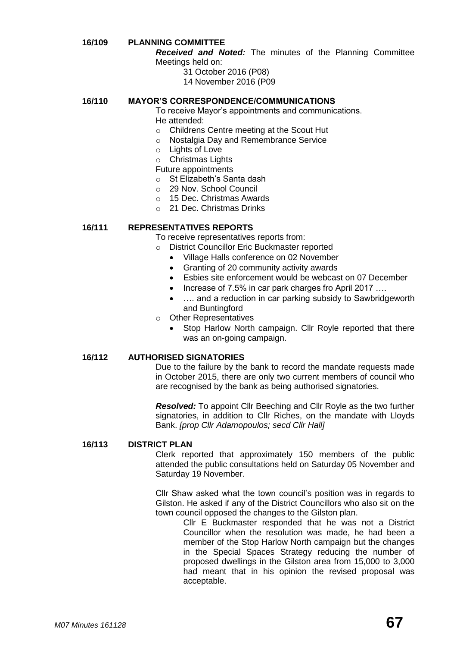## **16/109 PLANNING COMMITTEE**

*Received and Noted:* The minutes of the Planning Committee Meetings held on:

- 31 October 2016 (P08)
- 14 November 2016 (P09

## **16/110 MAYOR'S CORRESPONDENCE/COMMUNICATIONS**

To receive Mayor's appointments and communications. He attended:

- o Childrens Centre meeting at the Scout Hut
- o Nostalgia Day and Remembrance Service
- o Lights of Love

o Christmas Lights

Future appointments

- o St Elizabeth's Santa dash
- o 29 Nov. School Council
- o 15 Dec. Christmas Awards
- o 21 Dec. Christmas Drinks

## **16/111 REPRESENTATIVES REPORTS**

To receive representatives reports from:

- o District Councillor Eric Buckmaster reported
	- Village Halls conference on 02 November
	- Granting of 20 community activity awards
	- Esbies site enforcement would be webcast on 07 December
	- Increase of 7.5% in car park charges fro April 2017 ….
	- ... and a reduction in car parking subsidy to Sawbridgeworth and Buntingford
- o Other Representatives
	- Stop Harlow North campaign. Cllr Royle reported that there was an on-going campaign.

## **16/112 AUTHORISED SIGNATORIES**

Due to the failure by the bank to record the mandate requests made in October 2015, there are only two current members of council who are recognised by the bank as being authorised signatories.

*Resolved:* To appoint Cllr Beeching and Cllr Royle as the two further signatories, in addition to Cllr Riches, on the mandate with Lloyds Bank. *[prop Cllr Adamopoulos; secd Cllr Hall]*

#### **16/113 DISTRICT PLAN**

Clerk reported that approximately 150 members of the public attended the public consultations held on Saturday 05 November and Saturday 19 November.

Cllr Shaw asked what the town council's position was in regards to Gilston. He asked if any of the District Councillors who also sit on the town council opposed the changes to the Gilston plan.

Cllr E Buckmaster responded that he was not a District Councillor when the resolution was made, he had been a member of the Stop Harlow North campaign but the changes in the Special Spaces Strategy reducing the number of proposed dwellings in the Gilston area from 15,000 to 3,000 had meant that in his opinion the revised proposal was acceptable.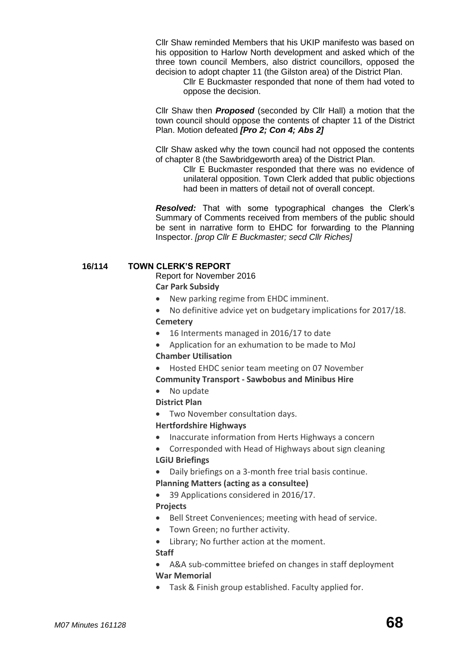Cllr Shaw reminded Members that his UKIP manifesto was based on his opposition to Harlow North development and asked which of the three town council Members, also district councillors, opposed the decision to adopt chapter 11 (the Gilston area) of the District Plan.

Cllr E Buckmaster responded that none of them had voted to oppose the decision.

Cllr Shaw then *Proposed* (seconded by Cllr Hall) a motion that the town council should oppose the contents of chapter 11 of the District Plan. Motion defeated *[Pro 2; Con 4; Abs 2]*

Cllr Shaw asked why the town council had not opposed the contents of chapter 8 (the Sawbridgeworth area) of the District Plan.

> Cllr E Buckmaster responded that there was no evidence of unilateral opposition. Town Clerk added that public objections had been in matters of detail not of overall concept.

*Resolved:* That with some typographical changes the Clerk's Summary of Comments received from members of the public should be sent in narrative form to EHDC for forwarding to the Planning Inspector. *[prop Cllr E Buckmaster; secd Cllr Riches]*

## **16/114 TOWN CLERK'S REPORT**

Report for November 2016

**Car Park Subsidy**

- New parking regime from EHDC imminent.
- No definitive advice yet on budgetary implications for 2017/18.
- **[Cemetery](http://www.sawbridgeworth-tc.gov.uk/town-information/town-council-services/cemetery)**
- 16 Interments managed in 2016/17 to date
- Application for an exhumation to be made to MoJ **Chamber Utilisation**
- Hosted EHDC senior team meeting on 07 November

#### **Community Transport - [Sawbobus](http://www.sawbridgeworth-tc.gov.uk/town-information/town-council-services/sawbobus) and [Minibus Hire](http://www.sawbridgeworth-tc.gov.uk/town-information/town-council-services/minibus-hire)**

- No update
- **District Plan**
- Two November consultation days.

#### **Hertfordshire Highways**

- Inaccurate information from Herts Highways a concern
- Corresponded with Head of Highways about sign cleaning **LGiU Briefings**
- Daily briefings on a 3-month free trial basis continue.
- **[Planning Matters \(acting as a consultee\)](http://www.sawbridgeworth-tc.gov.uk/town-council/planning)**
- 39 Applications considered in 2016/17.

## **Projects**

- Bell Street Conveniences; meeting with head of service.
- Town Green; no further activity.
- Library; No further action at the moment.

#### **Staff**

- A&A sub-committee briefed on changes in staff deployment **War Memorial**
- Task & Finish group established. Faculty applied for.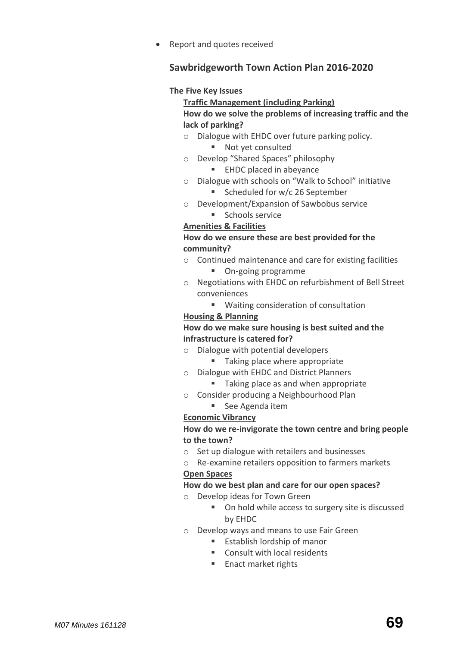Report and quotes received

## **Sawbridgeworth Town Action Plan 2016-2020**

## **The Five Key Issues**

## **Traffic Management (including Parking) How do we solve the problems of increasing traffic and the lack of parking?**

- o Dialogue with EHDC over future parking policy.
	- Not yet consulted
- o Develop "Shared Spaces" philosophy
	- **EHDC** placed in abevance
- o Dialogue with schools on "Walk to School" initiative
	- Scheduled for w/c 26 September
- o Development/Expansion of Sawbobus service **Schools service**

## **Amenities & Facilities**

## **How do we ensure these are best provided for the community?**

- o Continued maintenance and care for existing facilities
	- On-going programme
- o Negotiations with EHDC on refurbishment of Bell Street conveniences
	- Waiting consideration of consultation

## **Housing & Planning**

## **How do we make sure housing is best suited and the infrastructure is catered for?**

- o Dialogue with potential developers
	- Taking place where appropriate
- o Dialogue with EHDC and District Planners
	- Taking place as and when appropriate
- o Consider producing a Neighbourhood Plan
	- See Agenda item

## **Economic Vibrancy**

## **How do we re-invigorate the town centre and bring people to the town?**

- o Set up dialogue with retailers and businesses
- o Re-examine retailers opposition to farmers markets

## **Open Spaces**

## **How do we best plan and care for our open spaces?**

- o Develop ideas for Town Green
	- On hold while access to surgery site is discussed by EHDC
- o Develop ways and means to use Fair Green
	- Establish lordship of manor
	- Consult with local residents
	- Enact market rights